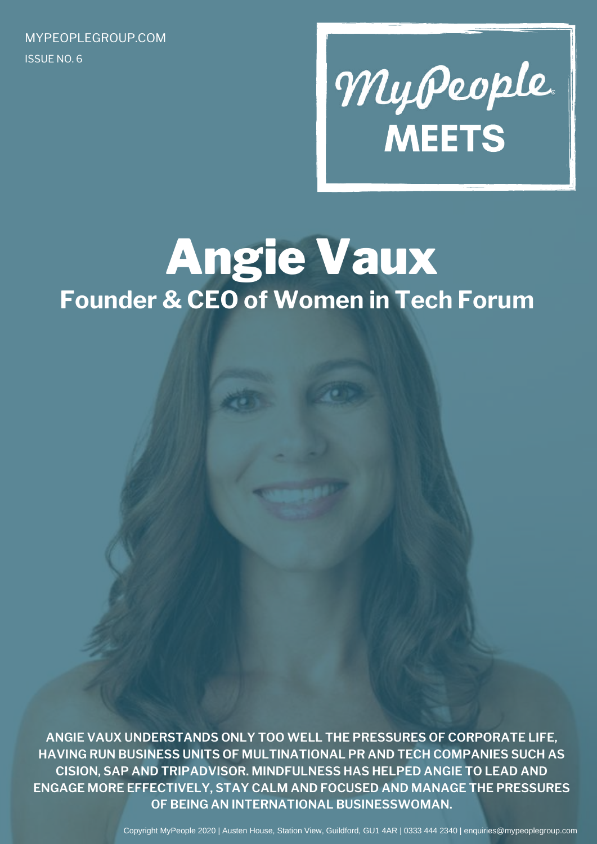ISSUE NO. 6 MYPEOPLEGROUP.COM

# MyPeople.

# Angie Vaux **Founder & CEO of Women in Tech Forum**

**ANGIE VAUX UNDERSTANDS ONLY TOO WELL THE PRESSURES OF CORPORATE LIFE, HAVING RUN BUSINESS UNITS OF MULTINATIONAL PR AND TECH COMPANIES SUCH AS CISION, SAP AND TRIPADVISOR. MINDFULNESS HAS HELPED ANGIE TO LEAD AND ENGAGE MORE EFFECTIVELY, STAY CALM AND FOCUSED AND MANAGE THE PRESSURES OF BEING AN INTERNATIONAL BUSINESSWOMAN.**

Copyright MyPeople 2020 | Austen House, Station View, Guildford, GU1 4AR | 0333 444 2340 | enquiries@mypeoplegroup.com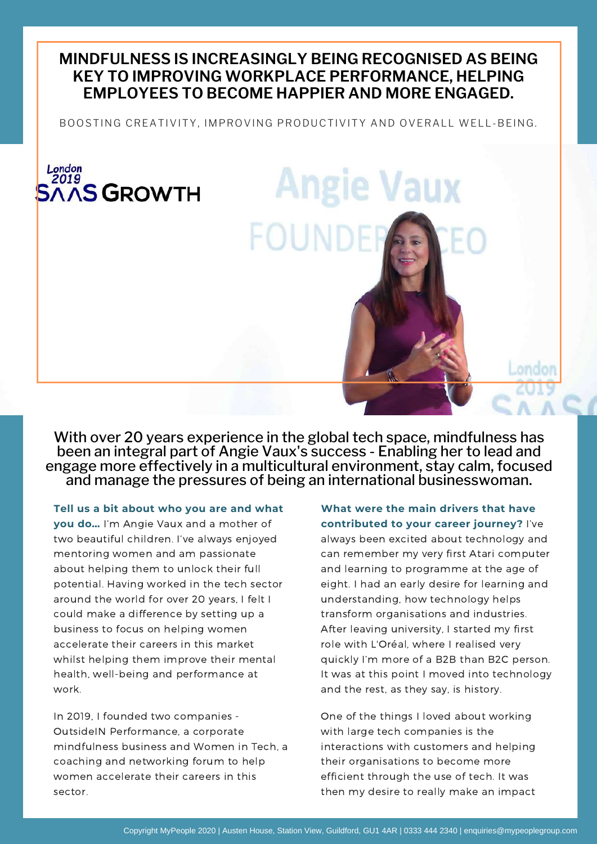# **MINDFULNESS IS INCREASINGLY BEING RECOGNISED AS BEING KEY TO IMPROVING WORKPLACE PERFORMANCE, HELPING EMPLOYEES TO BECOME HAPPIER AND MORE ENGAGED.**

BOOSTING CREATIVITY, IMPROVING PRODUCTIVITY AND OVERALL WELL-BEING.

**FOUND** 

**Angie Vaux** 

### London 2019 **AAS GROWTH**

With over 20 years experience in the global tech space, mindfulness has been an integral part of Angie Vaux's success - Enabling her to lead and engage more effectively in a multicultural environment, stay calm, focused and manage the pressures of being an international businesswoman.

**Tell us a bit about who you are and what**

**you do…** I'm Angie Vaux and a mother of two beautiful children. I've always enjoyed mentoring women and am passionate about helping them to unlock their full potential. Having worked in the tech sector around the world for over 20 years, I felt I could make a difference by setting up a business to focus on helping women accelerate their careers in this market whilst helping them improve their mental health, well-being and performance at work.

In 2019, I founded two companies - OutsideIN Performance, a corporate mindfulness business and Women in Tech, a coaching and networking forum to help women accelerate their careers in this sector.

#### **What were the main drivers that have contributed to your career journey?** I've

chdon

always been excited about technology and can remember my very first Atari computer and learning to programme at the age of eight. I had an early desire for learning and understanding, how technology helps transform organisations and industries. After leaving university, I started my first role with L'Oréal, where I realised very quickly I'm more of a B2B than B2C person. It was at this point I moved into technology and the rest, as they say, is history.

One of the things I loved about working with large tech companies is the interactions with customers and helping their organisations to become more efficient through the use of tech. It was then my desire to really make an impact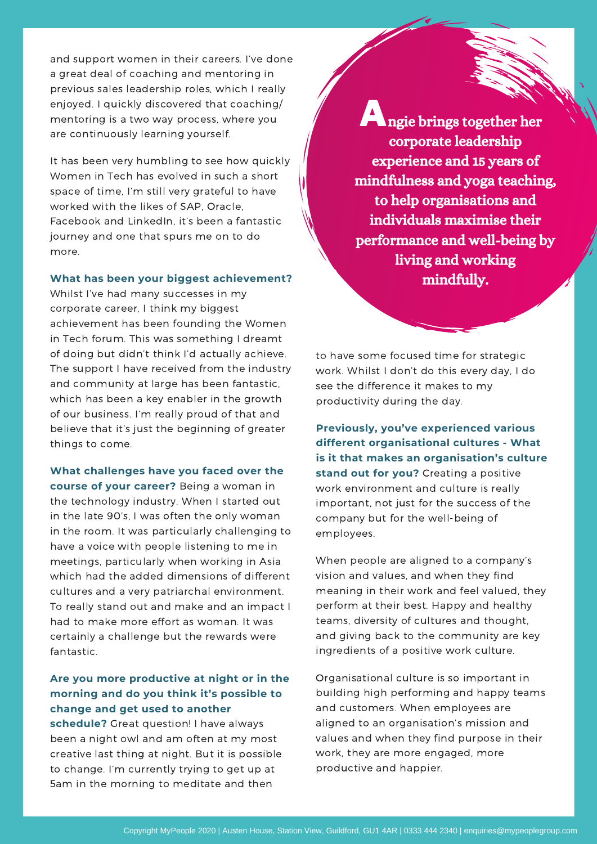and support women in their careers. I've done a great deal of coaching and mentoring in previous sales leadership roles, which I really enjoyed. I quickly discovered that coaching/ mentoring is a two way process, where you are continuously learning yourself.

It has been very humbling to see how quickly Women in Tech has evolved in such a short space of time, I'm still very grateful to have worked with the likes of SAP, Oracle, Facebook and LinkedIn, it's been a fantastic journey and one that spurs me on to do more.

#### **What has been your biggest achievement?**

Whilst I've had many successes in my corporate career, I think my biggest achievement has been founding the Women in Tech forum. This was something I dreamt of doing but didn't think I'd actually achieve. The support I have received from the industry and community at large has been fantastic, which has been a key enabler in the growth of our business. I'm really proud of that and believe that it's just the beginning of greater things to come.

**What challenges have you faced over the course of your career?** Being a woman in the technology industry. When I started out in the late 90's, I was often the only woman in the room. It was particularly challenging to have a voice with people listening to me in meetings, particularly when working in Asia which had the added dimensions of different cultures and a very patriarchal environment. To really stand out and make and an impact I had to make more effort as woman. It was certainly a challenge but the rewards were fantastic.

#### **Are you more productive at night or in the morning and do you think it's possible to change and get used to another**

**schedule?** Great question! I have always been a night owl and am often at my most creative last thing at night. But it is possible to change. I'm currently trying to get up at 5am in the morning to meditate and then

ngie brings together her Acorporate leadership experience and 15 years of mindfulness and yoga teaching, to help organisations and individuals maximise their performance and well-being by living and working mindfully.

to have some focused time for strategic work. Whilst I don't do this every day, I do see the difference it makes to my productivity during the day.

**Previously, you've experienced various different organisational cultures - What is it that makes an organisation's culture stand out for you?** Creating a positive work environment and culture is really important, not just for the success of the company but for the well-being of employees.

When people are aligned to a company's vision and values, and when they find meaning in their work and feel valued, they perform at their best. Happy and healthy teams, diversity of cultures and thought, and giving back to the community are key ingredients of a positive work culture.

Organisational culture is so important in building high performing and happy teams and customers. When employees are aligned to an organisation's mission and values and when they find purpose in their work, they are more engaged, more productive and happier.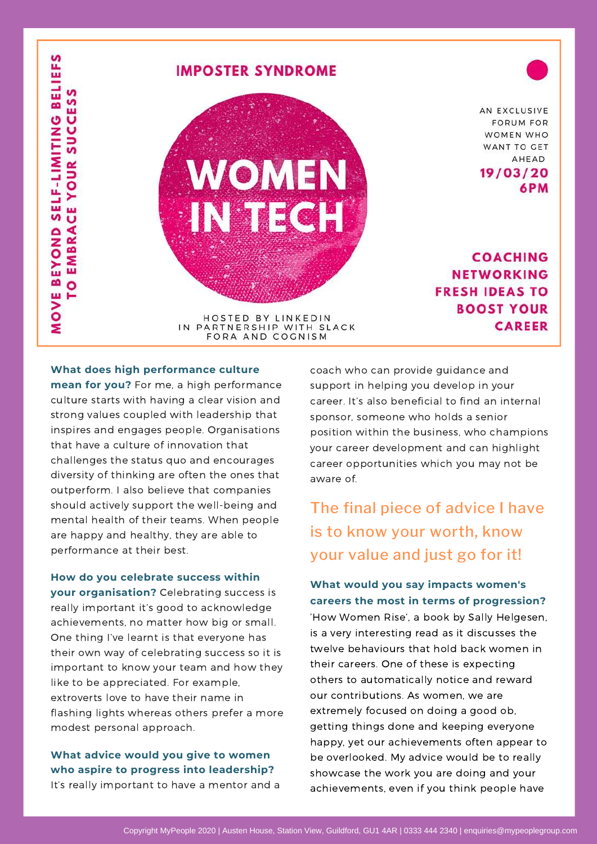

#### **What does high performance culture**

**mean for you?** For me, a high performance culture starts with having a clear vision and strong values coupled with leadership that inspires and engages people. Organisations that have a culture of innovation that challenges the status quo and encourages diversity of thinking are often the ones that outperform. I also believe that companies should actively support the well-being and mental health of their teams. When people are happy and healthy, they are able to performance at their best.

**How do you celebrate success within your organisation?** Celebrating success is really important it's good to acknowledge achievements, no matter how big or small. One thing I've learnt is that everyone has their own way of celebrating success so it is important to know your team and how they like to be appreciated. For example, extroverts love to have their name in flashing lights whereas others prefer a more modest personal approach.

#### **What advice would you give to women who aspire to progress into leadership?** It's really important to have a mentor and a

coach who can provide guidance and support in helping you develop in your career. It's also beneficial to find an internal sponsor, someone who holds a senior position within the business, who champions your career development and can highlight career opportunities which you may not be aware of.

# The final piece of advice I have is to know your worth, know your value and just go for it!

#### **What would you say impacts women's careers the most in terms of progression?**

'How Women Rise', a book by Sally Helgesen, is a very interesting read as it discusses the twelve behaviours that hold back women in their careers. One of these is expecting others to automatically notice and reward our contributions. As women, we are extremely focused on doing a good ob, getting things done and keeping everyone happy, yet our achievements often appear to be overlooked. My advice would be to really showcase the work you are doing and your achievements, even if you think people have